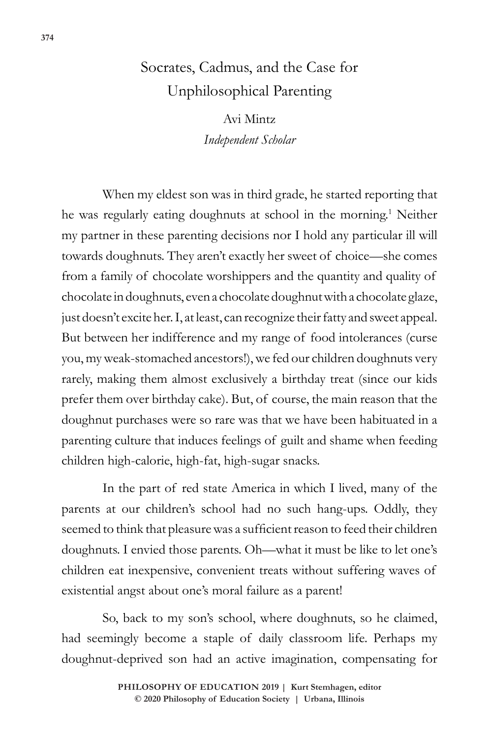# Socrates, Cadmus, and the Case for Unphilosophical Parenting

Avi Mintz *Independent Scholar*

When my eldest son was in third grade, he started reporting that he was regularly eating doughnuts at school in the morning.1 Neither my partner in these parenting decisions nor I hold any particular ill will towards doughnuts. They aren't exactly her sweet of choice—she comes from a family of chocolate worshippers and the quantity and quality of chocolate in doughnuts, even a chocolate doughnut with a chocolate glaze, just doesn't excite her. I, at least, can recognize their fatty and sweet appeal. But between her indifference and my range of food intolerances (curse you, my weak-stomached ancestors!), we fed our children doughnuts very rarely, making them almost exclusively a birthday treat (since our kids prefer them over birthday cake). But, of course, the main reason that the doughnut purchases were so rare was that we have been habituated in a parenting culture that induces feelings of guilt and shame when feeding children high-calorie, high-fat, high-sugar snacks.

In the part of red state America in which I lived, many of the parents at our children's school had no such hang-ups. Oddly, they seemed to think that pleasure was a sufficient reason to feed their children doughnuts. I envied those parents. Oh—what it must be like to let one's children eat inexpensive, convenient treats without suffering waves of existential angst about one's moral failure as a parent!

So, back to my son's school, where doughnuts, so he claimed, had seemingly become a staple of daily classroom life. Perhaps my doughnut-deprived son had an active imagination, compensating for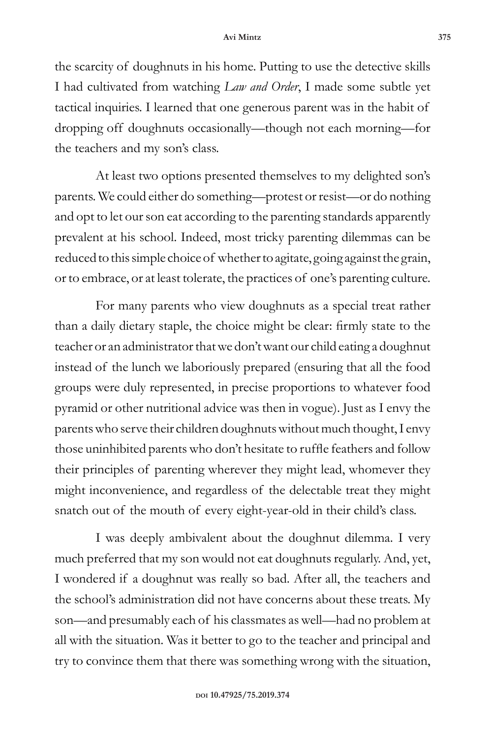the scarcity of doughnuts in his home. Putting to use the detective skills I had cultivated from watching *Law and Order*, I made some subtle yet tactical inquiries. I learned that one generous parent was in the habit of dropping off doughnuts occasionally—though not each morning—for the teachers and my son's class.

At least two options presented themselves to my delighted son's parents. We could either do something—protest or resist—or do nothing and opt to let our son eat according to the parenting standards apparently prevalent at his school. Indeed, most tricky parenting dilemmas can be reduced to this simple choice of whether to agitate, going against the grain, or to embrace, or at least tolerate, the practices of one's parenting culture.

For many parents who view doughnuts as a special treat rather than a daily dietary staple, the choice might be clear: firmly state to the teacher or an administrator that we don't want our child eating a doughnut instead of the lunch we laboriously prepared (ensuring that all the food groups were duly represented, in precise proportions to whatever food pyramid or other nutritional advice was then in vogue). Just as I envy the parents who serve their children doughnuts without much thought, I envy those uninhibited parents who don't hesitate to ruffle feathers and follow their principles of parenting wherever they might lead, whomever they might inconvenience, and regardless of the delectable treat they might snatch out of the mouth of every eight-year-old in their child's class.

I was deeply ambivalent about the doughnut dilemma. I very much preferred that my son would not eat doughnuts regularly. And, yet, I wondered if a doughnut was really so bad. After all, the teachers and the school's administration did not have concerns about these treats. My son—and presumably each of his classmates as well—had no problem at all with the situation. Was it better to go to the teacher and principal and try to convince them that there was something wrong with the situation,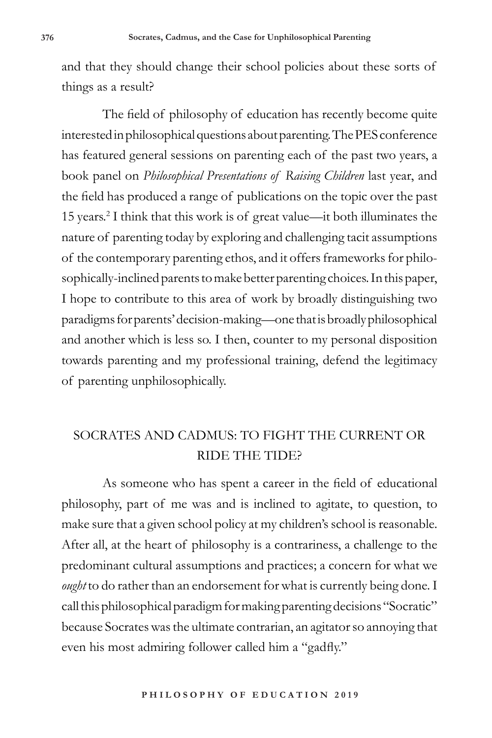and that they should change their school policies about these sorts of things as a result?

The field of philosophy of education has recently become quite interested in philosophical questions about parenting. The PES conference has featured general sessions on parenting each of the past two years, a book panel on *Philosophical Presentations of Raising Children* last year, and the field has produced a range of publications on the topic over the past 15 years.2 I think that this work is of great value—it both illuminates the nature of parenting today by exploring and challenging tacit assumptions of the contemporary parenting ethos, and it offers frameworks for philosophically-inclined parents to make better parenting choices. In this paper, I hope to contribute to this area of work by broadly distinguishing two paradigms for parents' decision-making—one that is broadly philosophical and another which is less so. I then, counter to my personal disposition towards parenting and my professional training, defend the legitimacy of parenting unphilosophically.

## SOCRATES AND CADMUS: TO FIGHT THE CURRENT OR RIDE THE TIDE?

As someone who has spent a career in the field of educational philosophy, part of me was and is inclined to agitate, to question, to make sure that a given school policy at my children's school is reasonable. After all, at the heart of philosophy is a contrariness, a challenge to the predominant cultural assumptions and practices; a concern for what we *ought* to do rather than an endorsement for what is currently being done. I call this philosophical paradigm for making parenting decisions "Socratic" because Socrates was the ultimate contrarian, an agitator so annoying that even his most admiring follower called him a "gadfly."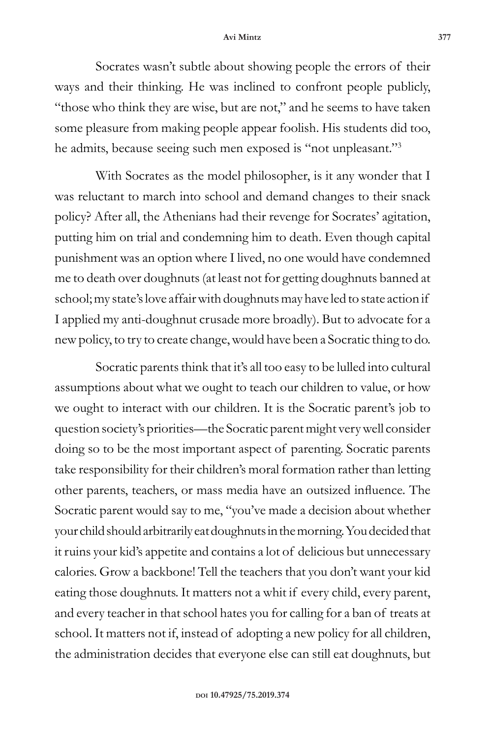#### **Avi Mintz 377**

Socrates wasn't subtle about showing people the errors of their ways and their thinking. He was inclined to confront people publicly, "those who think they are wise, but are not," and he seems to have taken some pleasure from making people appear foolish. His students did too, he admits, because seeing such men exposed is "not unpleasant."3

With Socrates as the model philosopher, is it any wonder that I was reluctant to march into school and demand changes to their snack policy? After all, the Athenians had their revenge for Socrates' agitation, putting him on trial and condemning him to death. Even though capital punishment was an option where I lived, no one would have condemned me to death over doughnuts (at least not for getting doughnuts banned at school; my state's love affair with doughnuts may have led to state action if I applied my anti-doughnut crusade more broadly). But to advocate for a new policy, to try to create change, would have been a Socratic thing to do.

Socratic parents think that it's all too easy to be lulled into cultural assumptions about what we ought to teach our children to value, or how we ought to interact with our children. It is the Socratic parent's job to question society's priorities—the Socratic parent might very well consider doing so to be the most important aspect of parenting. Socratic parents take responsibility for their children's moral formation rather than letting other parents, teachers, or mass media have an outsized influence. The Socratic parent would say to me, "you've made a decision about whether your child should arbitrarily eat doughnuts in the morning. You decided that it ruins your kid's appetite and contains a lot of delicious but unnecessary calories. Grow a backbone! Tell the teachers that you don't want your kid eating those doughnuts. It matters not a whit if every child, every parent, and every teacher in that school hates you for calling for a ban of treats at school. It matters not if, instead of adopting a new policy for all children, the administration decides that everyone else can still eat doughnuts, but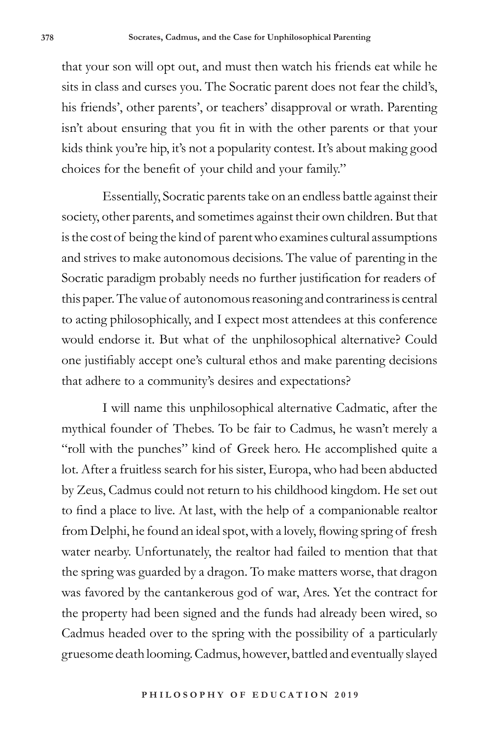that your son will opt out, and must then watch his friends eat while he sits in class and curses you. The Socratic parent does not fear the child's, his friends', other parents', or teachers' disapproval or wrath. Parenting isn't about ensuring that you fit in with the other parents or that your kids think you're hip, it's not a popularity contest. It's about making good choices for the benefit of your child and your family."

Essentially, Socratic parents take on an endless battle against their society, other parents, and sometimes against their own children. But that is the cost of being the kind of parent who examines cultural assumptions and strives to make autonomous decisions. The value of parenting in the Socratic paradigm probably needs no further justification for readers of this paper. The value of autonomous reasoning and contrariness is central to acting philosophically, and I expect most attendees at this conference would endorse it. But what of the unphilosophical alternative? Could one justifiably accept one's cultural ethos and make parenting decisions that adhere to a community's desires and expectations?

I will name this unphilosophical alternative Cadmatic, after the mythical founder of Thebes. To be fair to Cadmus, he wasn't merely a "roll with the punches" kind of Greek hero. He accomplished quite a lot. After a fruitless search for his sister, Europa, who had been abducted by Zeus, Cadmus could not return to his childhood kingdom. He set out to find a place to live. At last, with the help of a companionable realtor from Delphi, he found an ideal spot, with a lovely, flowing spring of fresh water nearby. Unfortunately, the realtor had failed to mention that that the spring was guarded by a dragon. To make matters worse, that dragon was favored by the cantankerous god of war, Ares. Yet the contract for the property had been signed and the funds had already been wired, so Cadmus headed over to the spring with the possibility of a particularly gruesome death looming. Cadmus, however, battled and eventually slayed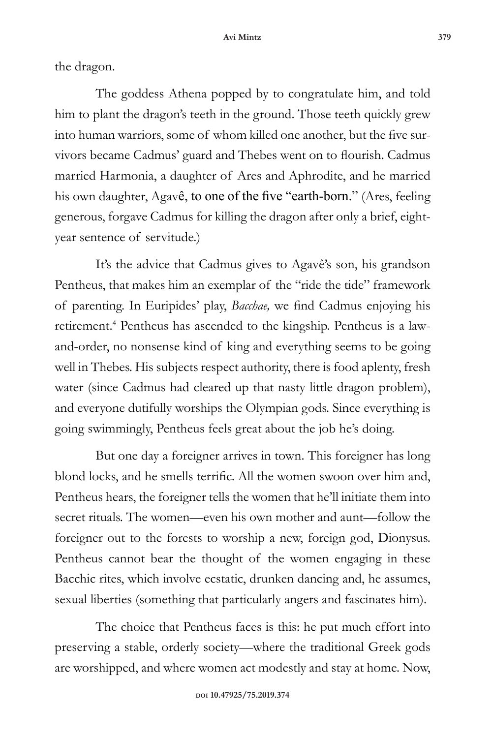the dragon.

The goddess Athena popped by to congratulate him, and told him to plant the dragon's teeth in the ground. Those teeth quickly grew into human warriors, some of whom killed one another, but the five survivors became Cadmus' guard and Thebes went on to flourish. Cadmus married Harmonia, a daughter of Ares and Aphrodite, and he married his own daughter, Agavê, to one of the five "earth-born." (Ares, feeling generous, forgave Cadmus for killing the dragon after only a brief, eightyear sentence of servitude.)

It's the advice that Cadmus gives to Agavê's son, his grandson Pentheus, that makes him an exemplar of the "ride the tide" framework of parenting. In Euripides' play, *Bacchae,* we find Cadmus enjoying his retirement.<sup>4</sup> Pentheus has ascended to the kingship. Pentheus is a lawand-order, no nonsense kind of king and everything seems to be going well in Thebes. His subjects respect authority, there is food aplenty, fresh water (since Cadmus had cleared up that nasty little dragon problem), and everyone dutifully worships the Olympian gods. Since everything is going swimmingly, Pentheus feels great about the job he's doing.

But one day a foreigner arrives in town. This foreigner has long blond locks, and he smells terrific. All the women swoon over him and, Pentheus hears, the foreigner tells the women that he'll initiate them into secret rituals. The women—even his own mother and aunt—follow the foreigner out to the forests to worship a new, foreign god, Dionysus. Pentheus cannot bear the thought of the women engaging in these Bacchic rites, which involve ecstatic, drunken dancing and, he assumes, sexual liberties (something that particularly angers and fascinates him).

The choice that Pentheus faces is this: he put much effort into preserving a stable, orderly society—where the traditional Greek gods are worshipped, and where women act modestly and stay at home. Now,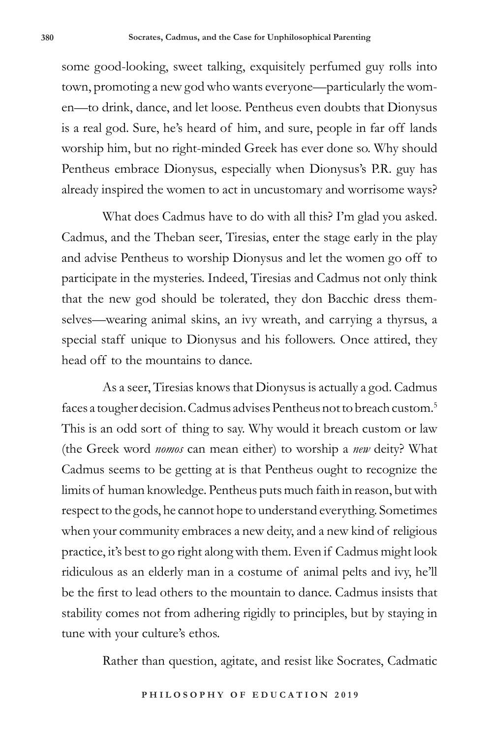some good-looking, sweet talking, exquisitely perfumed guy rolls into town, promoting a new god who wants everyone—particularly the women—to drink, dance, and let loose. Pentheus even doubts that Dionysus is a real god. Sure, he's heard of him, and sure, people in far off lands worship him, but no right-minded Greek has ever done so. Why should Pentheus embrace Dionysus, especially when Dionysus's P.R. guy has already inspired the women to act in uncustomary and worrisome ways?

What does Cadmus have to do with all this? I'm glad you asked. Cadmus, and the Theban seer, Tiresias, enter the stage early in the play and advise Pentheus to worship Dionysus and let the women go off to participate in the mysteries. Indeed, Tiresias and Cadmus not only think that the new god should be tolerated, they don Bacchic dress themselves—wearing animal skins, an ivy wreath, and carrying a thyrsus, a special staff unique to Dionysus and his followers. Once attired, they head off to the mountains to dance.

As a seer, Tiresias knows that Dionysus is actually a god. Cadmus faces a tougher decision. Cadmus advises Pentheus not to breach custom.<sup>5</sup> This is an odd sort of thing to say. Why would it breach custom or law (the Greek word *nomos* can mean either) to worship a *new* deity? What Cadmus seems to be getting at is that Pentheus ought to recognize the limits of human knowledge. Pentheus puts much faith in reason, but with respect to the gods, he cannot hope to understand everything. Sometimes when your community embraces a new deity, and a new kind of religious practice, it's best to go right along with them. Even if Cadmus might look ridiculous as an elderly man in a costume of animal pelts and ivy, he'll be the first to lead others to the mountain to dance. Cadmus insists that stability comes not from adhering rigidly to principles, but by staying in tune with your culture's ethos.

Rather than question, agitate, and resist like Socrates, Cadmatic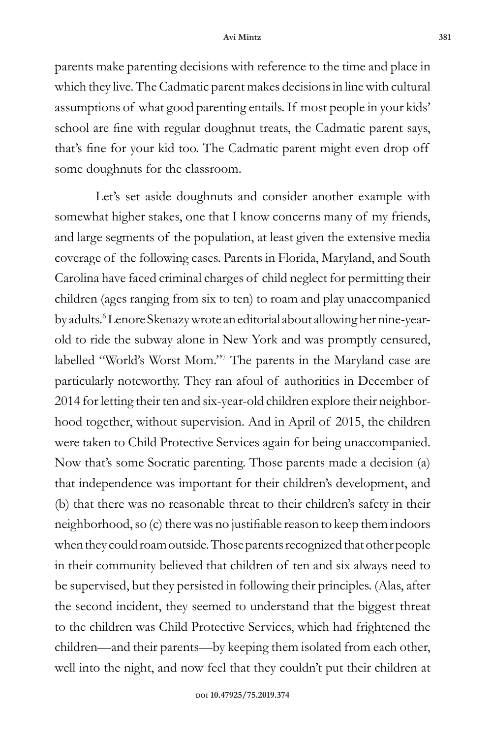parents make parenting decisions with reference to the time and place in which they live. The Cadmatic parent makes decisions in line with cultural assumptions of what good parenting entails. If most people in your kids' school are fine with regular doughnut treats, the Cadmatic parent says, that's fine for your kid too. The Cadmatic parent might even drop off some doughnuts for the classroom.

Let's set aside doughnuts and consider another example with somewhat higher stakes, one that I know concerns many of my friends, and large segments of the population, at least given the extensive media coverage of the following cases. Parents in Florida, Maryland, and South Carolina have faced criminal charges of child neglect for permitting their children (ages ranging from six to ten) to roam and play unaccompanied by adults.<sup>6</sup> Lenore Skenazy wrote an editorial about allowing her nine-yearold to ride the subway alone in New York and was promptly censured, labelled "World's Worst Mom."7 The parents in the Maryland case are particularly noteworthy. They ran afoul of authorities in December of 2014 for letting their ten and six-year-old children explore their neighborhood together, without supervision. And in April of 2015, the children were taken to Child Protective Services again for being unaccompanied. Now that's some Socratic parenting. Those parents made a decision (a) that independence was important for their children's development, and (b) that there was no reasonable threat to their children's safety in their neighborhood, so (c) there was no justifiable reason to keep them indoors when they could roam outside. Those parents recognized that other people in their community believed that children of ten and six always need to be supervised, but they persisted in following their principles. (Alas, after the second incident, they seemed to understand that the biggest threat to the children was Child Protective Services, which had frightened the children—and their parents—by keeping them isolated from each other, well into the night, and now feel that they couldn't put their children at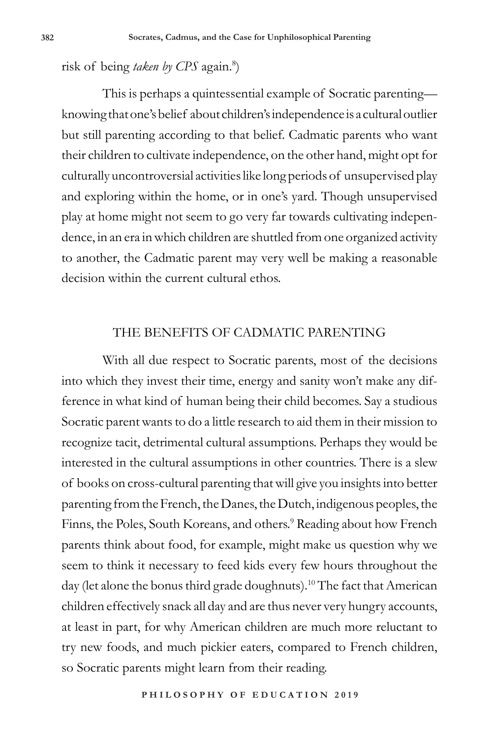risk of being taken by CPS again.<sup>8</sup>)

This is perhaps a quintessential example of Socratic parenting knowing that one's belief about children's independence is a cultural outlier but still parenting according to that belief. Cadmatic parents who want their children to cultivate independence, on the other hand, might opt for culturally uncontroversial activities like long periods of unsupervised play and exploring within the home, or in one's yard. Though unsupervised play at home might not seem to go very far towards cultivating independence, in an era in which children are shuttled from one organized activity to another, the Cadmatic parent may very well be making a reasonable decision within the current cultural ethos.

### THE BENEFITS OF CADMATIC PARENTING

With all due respect to Socratic parents, most of the decisions into which they invest their time, energy and sanity won't make any difference in what kind of human being their child becomes. Say a studious Socratic parent wants to do a little research to aid them in their mission to recognize tacit, detrimental cultural assumptions. Perhaps they would be interested in the cultural assumptions in other countries. There is a slew of books on cross-cultural parenting that will give you insights into better parenting from the French, the Danes, the Dutch, indigenous peoples, the Finns, the Poles, South Koreans, and others.<sup>9</sup> Reading about how French parents think about food, for example, might make us question why we seem to think it necessary to feed kids every few hours throughout the day (let alone the bonus third grade doughnuts).10 The fact that American children effectively snack all day and are thus never very hungry accounts, at least in part, for why American children are much more reluctant to try new foods, and much pickier eaters, compared to French children, so Socratic parents might learn from their reading.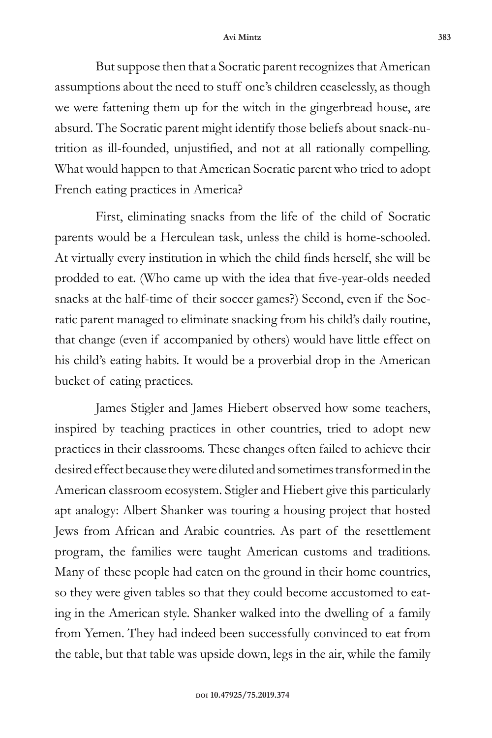But suppose then that a Socratic parent recognizes that American assumptions about the need to stuff one's children ceaselessly, as though we were fattening them up for the witch in the gingerbread house, are absurd. The Socratic parent might identify those beliefs about snack-nutrition as ill-founded, unjustified, and not at all rationally compelling. What would happen to that American Socratic parent who tried to adopt French eating practices in America?

First, eliminating snacks from the life of the child of Socratic parents would be a Herculean task, unless the child is home-schooled. At virtually every institution in which the child finds herself, she will be prodded to eat. (Who came up with the idea that five-year-olds needed snacks at the half-time of their soccer games?) Second, even if the Socratic parent managed to eliminate snacking from his child's daily routine, that change (even if accompanied by others) would have little effect on his child's eating habits. It would be a proverbial drop in the American bucket of eating practices.

James Stigler and James Hiebert observed how some teachers, inspired by teaching practices in other countries, tried to adopt new practices in their classrooms. These changes often failed to achieve their desired effect because they were diluted and sometimes transformed in the American classroom ecosystem. Stigler and Hiebert give this particularly apt analogy: Albert Shanker was touring a housing project that hosted Jews from African and Arabic countries. As part of the resettlement program, the families were taught American customs and traditions. Many of these people had eaten on the ground in their home countries, so they were given tables so that they could become accustomed to eating in the American style. Shanker walked into the dwelling of a family from Yemen. They had indeed been successfully convinced to eat from the table, but that table was upside down, legs in the air, while the family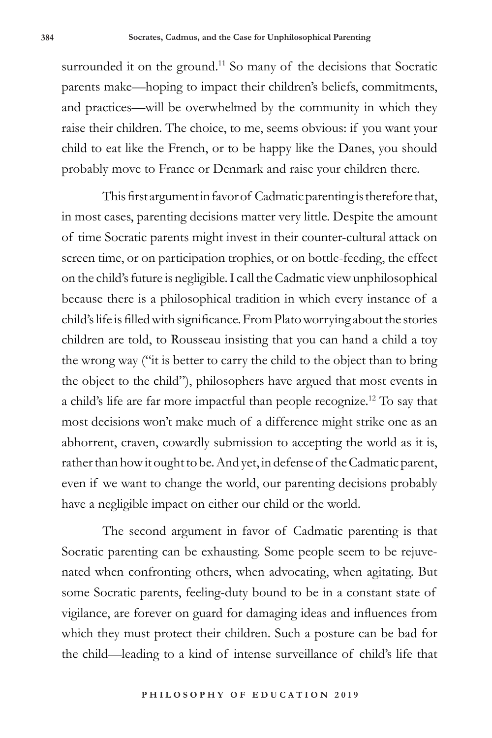surrounded it on the ground.<sup>11</sup> So many of the decisions that Socratic parents make—hoping to impact their children's beliefs, commitments, and practices—will be overwhelmed by the community in which they raise their children. The choice, to me, seems obvious: if you want your child to eat like the French, or to be happy like the Danes, you should probably move to France or Denmark and raise your children there.

This first argument in favor of Cadmatic parenting is therefore that, in most cases, parenting decisions matter very little. Despite the amount of time Socratic parents might invest in their counter-cultural attack on screen time, or on participation trophies, or on bottle-feeding, the effect on the child's future is negligible. I call the Cadmatic view unphilosophical because there is a philosophical tradition in which every instance of a child's life is filled with significance. From Plato worrying about the stories children are told, to Rousseau insisting that you can hand a child a toy the wrong way ("it is better to carry the child to the object than to bring the object to the child"), philosophers have argued that most events in a child's life are far more impactful than people recognize.12 To say that most decisions won't make much of a difference might strike one as an abhorrent, craven, cowardly submission to accepting the world as it is, rather than how it ought to be. And yet, in defense of the Cadmatic parent, even if we want to change the world, our parenting decisions probably have a negligible impact on either our child or the world.

The second argument in favor of Cadmatic parenting is that Socratic parenting can be exhausting. Some people seem to be rejuvenated when confronting others, when advocating, when agitating. But some Socratic parents, feeling-duty bound to be in a constant state of vigilance, are forever on guard for damaging ideas and influences from which they must protect their children. Such a posture can be bad for the child—leading to a kind of intense surveillance of child's life that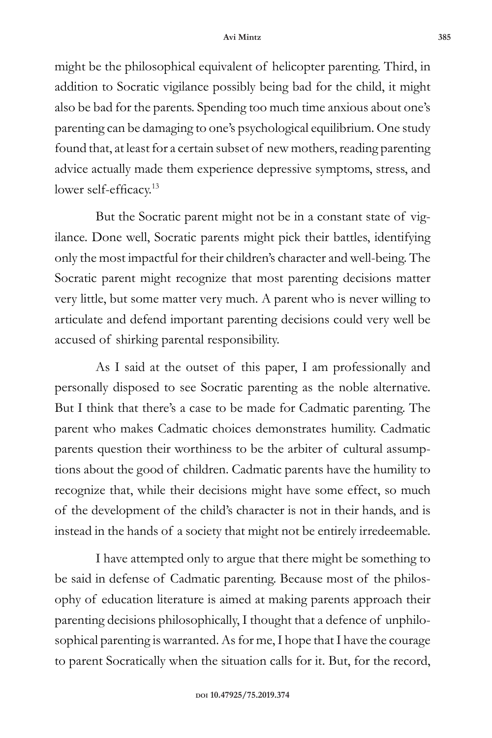might be the philosophical equivalent of helicopter parenting. Third, in addition to Socratic vigilance possibly being bad for the child, it might also be bad for the parents. Spending too much time anxious about one's parenting can be damaging to one's psychological equilibrium. One study found that, at least for a certain subset of new mothers, reading parenting advice actually made them experience depressive symptoms, stress, and lower self-efficacy.<sup>13</sup>

But the Socratic parent might not be in a constant state of vigilance. Done well, Socratic parents might pick their battles, identifying only the most impactful for their children's character and well-being. The Socratic parent might recognize that most parenting decisions matter very little, but some matter very much. A parent who is never willing to articulate and defend important parenting decisions could very well be accused of shirking parental responsibility.

As I said at the outset of this paper, I am professionally and personally disposed to see Socratic parenting as the noble alternative. But I think that there's a case to be made for Cadmatic parenting. The parent who makes Cadmatic choices demonstrates humility. Cadmatic parents question their worthiness to be the arbiter of cultural assumptions about the good of children. Cadmatic parents have the humility to recognize that, while their decisions might have some effect, so much of the development of the child's character is not in their hands, and is instead in the hands of a society that might not be entirely irredeemable.

I have attempted only to argue that there might be something to be said in defense of Cadmatic parenting. Because most of the philosophy of education literature is aimed at making parents approach their parenting decisions philosophically, I thought that a defence of unphilosophical parenting is warranted. As for me, I hope that I have the courage to parent Socratically when the situation calls for it. But, for the record,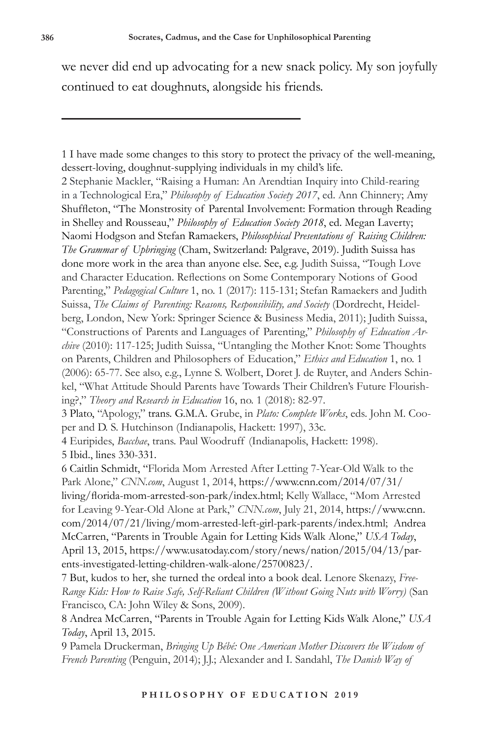we never did end up advocating for a new snack policy. My son joyfully continued to eat doughnuts, alongside his friends.

1 I have made some changes to this story to protect the privacy of the well-meaning, dessert-loving, doughnut-supplying individuals in my child's life. 2 Stephanie Mackler, "Raising a Human: An Arendtian Inquiry into Child-rearing in a Technological Era," *Philosophy of Education Society 2017*, ed. Ann Chinnery; Amy Shuffleton, "The Monstrosity of Parental Involvement: Formation through Reading in Shelley and Rousseau," *Philosophy of Education Society 2018*, ed. Megan Laverty; Naomi Hodgson and Stefan Ramaekers, *Philosophical Presentations of Raising Children: The Grammar of Upbringing* (Cham, Switzerland: Palgrave, 2019). Judith Suissa has done more work in the area than anyone else. See, e.g. Judith Suissa, "Tough Love and Character Education. Reflections on Some Contemporary Notions of Good Parenting," *Pedagogical Culture* 1, no. 1 (2017): 115-131; Stefan Ramaekers and Judith Suissa, *The Claims of Parenting: Reasons, Responsibility, and Society* (Dordrecht, Heidelberg, London, New York: Springer Science & Business Media, 2011); Judith Suissa, "Constructions of Parents and Languages of Parenting," *Philosophy of Education Archive* (2010): 117-125; Judith Suissa, "Untangling the Mother Knot: Some Thoughts on Parents, Children and Philosophers of Education," *Ethics and Education* 1, no. 1 (2006): 65-77. See also, e.g., Lynne S. Wolbert, Doret J. de Ruyter, and Anders Schinkel, "What Attitude Should Parents have Towards Their Children's Future Flourishing?," *Theory and Research in Education* 16, no. 1 (2018): 82-97. 3 Plato, "Apology," trans. G.M.A. Grube, in *Plato: Complete Works*, eds. John M. Cooper and D. S. Hutchinson (Indianapolis, Hackett: 1997), 33c. 4 Euripides, *Bacchae*, trans. Paul Woodruff (Indianapolis, Hackett: 1998). 5 Ibid., lines 330-331.

6 Caitlin Schmidt, "Florida Mom Arrested After Letting 7-Year-Old Walk to the Park Alone," *CNN.com*, August 1, 2014, https://www.cnn.com/2014/07/31/ living/florida-mom-arrested-son-park/index.html; Kelly Wallace, "Mom Arrested for Leaving 9-Year-Old Alone at Park," *CNN.com*, July 21, 2014, https://www.cnn. com/2014/07/21/living/mom-arrested-left-girl-park-parents/index.html; Andrea McCarren, "Parents in Trouble Again for Letting Kids Walk Alone," *USA Today*, April 13, 2015, https://www.usatoday.com/story/news/nation/2015/04/13/parents-investigated-letting-children-walk-alone/25700823/.

7 But, kudos to her, she turned the ordeal into a book deal. Lenore Skenazy, *Free-Range Kids: How to Raise Safe, Self-Reliant Children (Without Going Nuts with Worry)* (San Francisco, CA: John Wiley & Sons, 2009).

8 Andrea McCarren, "Parents in Trouble Again for Letting Kids Walk Alone," *USA Today*, April 13, 2015.

9 Pamela Druckerman, *Bringing Up Bébé: One American Mother Discovers the Wisdom of French Parenting* (Penguin, 2014); J.J.; Alexander and I. Sandahl, *The Danish Way of*